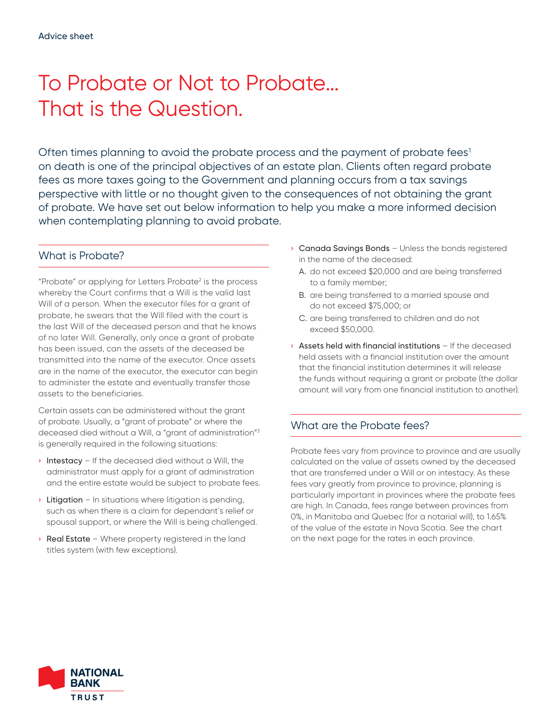# To Probate or Not to Probate... That is the Question.

Often times planning to avoid the probate process and the payment of probate fees<sup>1</sup> on death is one of the principal objectives of an estate plan. Clients often regard probate fees as more taxes going to the Government and planning occurs from a tax savings perspective with little or no thought given to the consequences of not obtaining the grant of probate. We have set out below information to help you make a more informed decision when contemplating planning to avoid probate.

## What is Probate?

"Probate" or applying for Letters Probate<sup>2</sup> is the process whereby the Court confirms that a Will is the valid last Will of a person. When the executor files for a grant of probate, he swears that the Will filed with the court is the last Will of the deceased person and that he knows of no later Will. Generally, only once a grant of probate has been issued, can the assets of the deceased be transmitted into the name of the executor. Once assets are in the name of the executor, the executor can begin to administer the estate and eventually transfer those assets to the beneficiaries.

Certain assets can be administered without the grant of probate. Usually, a "grant of probate" or where the deceased died without a Will, a "grant of administration"3 is generally required in the following situations:

- $\rightarrow$  Intestacy If the deceased died without a Will, the administrator must apply for a grant of administration and the entire estate would be subject to probate fees.
- $\rightarrow$  Litigation In situations where litigation is pending, such as when there is a claim for dependant's relief or spousal support, or where the Will is being challenged.
- **> Real Estate** Where property registered in the land titles system (with few exceptions).
- **Canada Savings Bonds** Unless the bonds registered in the name of the deceased:
	- A. do not exceed \$20,000 and are being transferred to a family member;
	- B. are being transferred to a married spouse and do not exceed \$75,000; or
	- C. are being transferred to children and do not exceed \$50,000.
- › Assets held with financial institutions If the deceased held assets with a financial institution over the amount that the financial institution determines it will release the funds without requiring a grant or probate (the dollar amount will vary from one financial institution to another).

## What are the Probate fees?

Probate fees vary from province to province and are usually calculated on the value of assets owned by the deceased that are transferred under a Will or on intestacy. As these fees vary greatly from province to province, planning is particularly important in provinces where the probate fees are high. In Canada, fees range between provinces from 0%, in Manitoba and Quebec (for a notarial will), to 1.65% of the value of the estate in Nova Scotia. See the chart on the next page for the rates in each province.

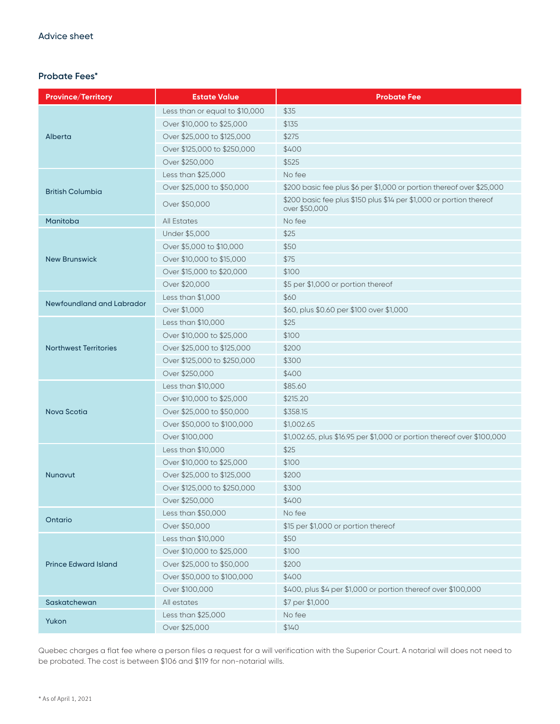#### **Probate Fees\***

| Province/Territory           | <b>Estate Value</b>            | <b>Probate Fee</b>                                                                   |
|------------------------------|--------------------------------|--------------------------------------------------------------------------------------|
| Alberta                      | Less than or equal to \$10,000 | \$35                                                                                 |
|                              | Over \$10,000 to \$25,000      | \$135                                                                                |
|                              | Over \$25,000 to \$125,000     | \$275                                                                                |
|                              | Over \$125,000 to \$250,000    | \$400                                                                                |
|                              | Over \$250,000                 | \$525                                                                                |
| <b>British Columbia</b>      | Less than \$25,000             | No fee                                                                               |
|                              | Over \$25,000 to \$50,000      | \$200 basic fee plus \$6 per \$1,000 or portion thereof over \$25,000                |
|                              | Over \$50,000                  | \$200 basic fee plus \$150 plus \$14 per \$1,000 or portion thereof<br>over \$50,000 |
| Manitoba                     | <b>All Estates</b>             | No fee                                                                               |
| <b>New Brunswick</b>         | Under \$5,000                  | \$25                                                                                 |
|                              | Over \$5,000 to \$10,000       | \$50                                                                                 |
|                              | Over \$10,000 to \$15,000      | \$75                                                                                 |
|                              | Over \$15,000 to \$20,000      | \$100                                                                                |
|                              | Over \$20,000                  | \$5 per \$1,000 or portion thereof                                                   |
| Newfoundland and Labrador    | Less than \$1,000              | \$60                                                                                 |
|                              | Over \$1,000                   | \$60, plus \$0.60 per \$100 over \$1,000                                             |
| <b>Northwest Territories</b> | Less than \$10,000             | \$25                                                                                 |
|                              | Over \$10,000 to \$25,000      | \$100                                                                                |
|                              | Over \$25,000 to \$125,000     | \$200                                                                                |
|                              | Over \$125,000 to \$250,000    | \$300                                                                                |
|                              | Over \$250,000                 | \$400                                                                                |
| Nova Scotia                  | Less than \$10,000             | \$85.60                                                                              |
|                              | Over \$10,000 to \$25,000      | \$215.20                                                                             |
|                              | Over \$25,000 to \$50,000      | \$358.15                                                                             |
|                              | Over \$50,000 to \$100,000     | \$1,002.65                                                                           |
|                              | Over \$100,000                 | \$1,002.65, plus \$16.95 per \$1,000 or portion thereof over \$100,000               |
| <b>Nunavut</b>               | Less than \$10,000             | \$25                                                                                 |
|                              | Over \$10,000 to \$25,000      | \$100                                                                                |
|                              | Over \$25,000 to \$125,000     | \$200                                                                                |
|                              | Over \$125,000 to \$250,000    | \$300                                                                                |
|                              | Over \$250,000                 | \$400                                                                                |
| Ontario                      | Less than \$50,000             | No fee                                                                               |
|                              | Over \$50,000                  | \$15 per \$1,000 or portion thereof                                                  |
| <b>Prince Edward Island</b>  | Less than \$10,000             | \$50                                                                                 |
|                              | Over \$10,000 to \$25,000      | \$100                                                                                |
|                              | Over \$25,000 to \$50,000      | \$200                                                                                |
|                              | Over \$50,000 to \$100,000     | \$400                                                                                |
|                              | Over \$100,000                 | \$400, plus \$4 per \$1,000 or portion thereof over \$100,000                        |
| Saskatchewan                 | All estates                    | \$7 per \$1,000                                                                      |
| Yukon                        | Less than \$25,000             | No fee                                                                               |
|                              | Over \$25,000                  | \$140                                                                                |

Quebec charges a flat fee where a person files a request for a will verification with the Superior Court. A notarial will does not need to be probated. The cost is between \$106 and \$119 for non-notarial wills.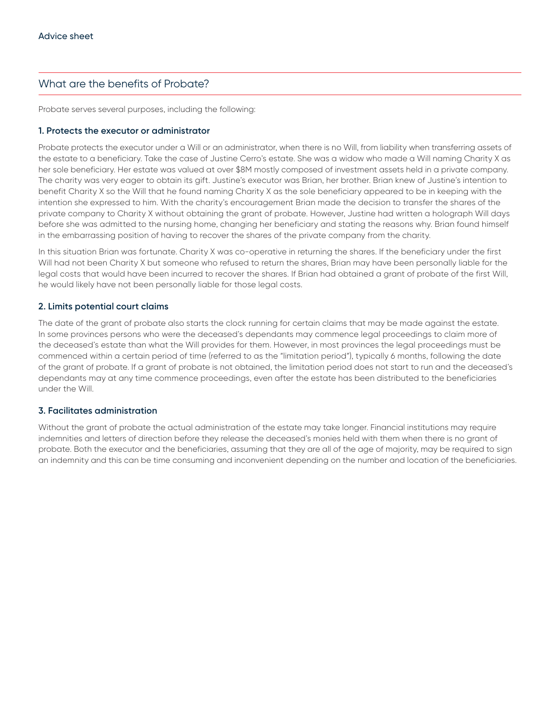### What are the benefits of Probate?

Probate serves several purposes, including the following:

#### **1. Protects the executor or administrator**

Probate protects the executor under a Will or an administrator, when there is no Will, from liability when transferring assets of the estate to a beneficiary. Take the case of Justine Cerro's estate. She was a widow who made a Will naming Charity X as her sole beneficiary. Her estate was valued at over \$8M mostly composed of investment assets held in a private company. The charity was very eager to obtain its gift. Justine's executor was Brian, her brother. Brian knew of Justine's intention to benefit Charity X so the Will that he found naming Charity X as the sole beneficiary appeared to be in keeping with the intention she expressed to him. With the charity's encouragement Brian made the decision to transfer the shares of the private company to Charity X without obtaining the grant of probate. However, Justine had written a holograph Will days before she was admitted to the nursing home, changing her beneficiary and stating the reasons why. Brian found himself in the embarrassing position of having to recover the shares of the private company from the charity.

In this situation Brian was fortunate. Charity X was co-operative in returning the shares. If the beneficiary under the first Will had not been Charity X but someone who refused to return the shares, Brian may have been personally liable for the legal costs that would have been incurred to recover the shares. If Brian had obtained a grant of probate of the first Will, he would likely have not been personally liable for those legal costs.

#### **2. Limits potential court claims**

The date of the grant of probate also starts the clock running for certain claims that may be made against the estate. In some provinces persons who were the deceased's dependants may commence legal proceedings to claim more of the deceased's estate than what the Will provides for them. However, in most provinces the legal proceedings must be commenced within a certain period of time (referred to as the "limitation period"), typically 6 months, following the date of the grant of probate. If a grant of probate is not obtained, the limitation period does not start to run and the deceased's dependants may at any time commence proceedings, even after the estate has been distributed to the beneficiaries under the Will.

#### **3. Facilitates administration**

Without the grant of probate the actual administration of the estate may take longer. Financial institutions may require indemnities and letters of direction before they release the deceased's monies held with them when there is no grant of probate. Both the executor and the beneficiaries, assuming that they are all of the age of majority, may be required to sign an indemnity and this can be time consuming and inconvenient depending on the number and location of the beneficiaries.